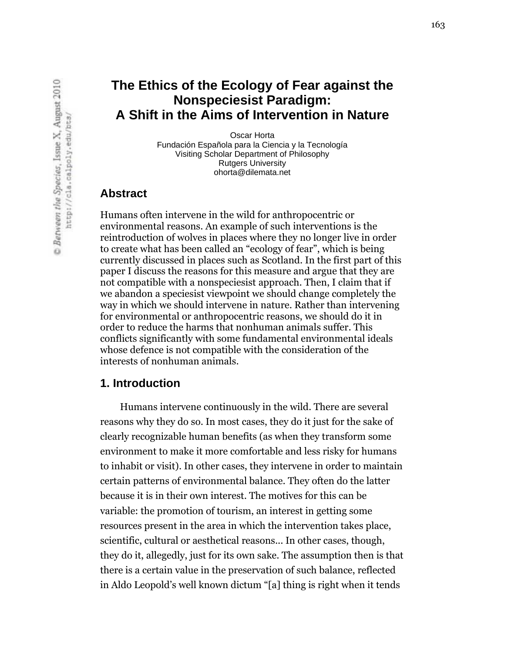Fundación Española para la Ciencia y la Tecnología Oscar Horta Visiting Scholar Department of Philosophy Rutgers University ohorta@dilemata.net

### **Abstract**

Humans often intervene in the wild for anthropocentric or environmental reasons. An example of such interventions is the reintroduction of wolves in places where they no longer live in order to create what has been called an "ecology of fear", which is being currently discussed in places such as Scotland. In the first part of this paper I discuss the reasons for this measure and argue that they are not compatible with a nonspeciesist approach. Then, I claim that if we abandon a speciesist viewpoint we should change completely the way in which we should intervene in nature. Rather than intervening for environmental or anthropocentric reasons, we should do it in order to reduce the harms that nonhuman animals suffer. This conflicts significantly with some fundamental environmental ideals whose defence is not compatible with the consideration of the interests of nonhuman animals.

#### **1. Introduction**

Humans intervene continuously in the wild. There are several reasons why they do so. In most cases, they do it just for the sake of clearly recognizable human benefits (as when they transform some environment to make it more comfortable and less risky for humans to inhabit or visit). In other cases, they intervene in order to maintain certain patterns of environmental balance. They often do the latter because it is in their own interest. The motives for this can be variable: the promotion of tourism, an interest in getting some resources present in the area in which the intervention takes place, scientific, cultural or aesthetical reasons... In other cases, though, they do it, allegedly, just for its own sake. The assumption then is that there is a certain value in the preservation of such balance, reflected in Aldo Leopold's well known dictum "[a] thing is right when it tends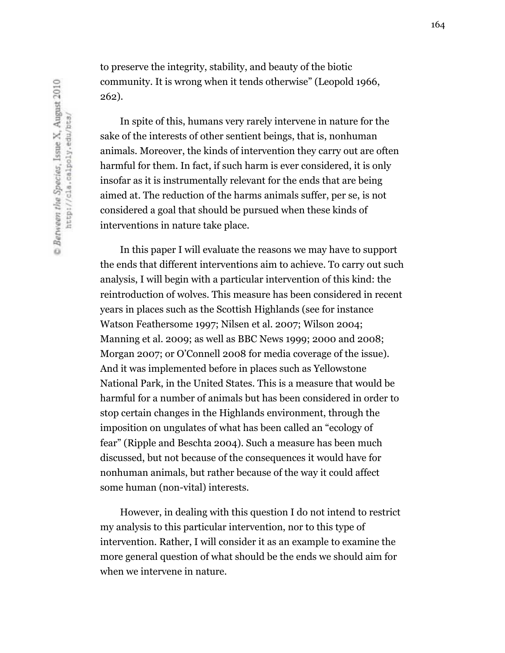to preserve the integrity, stability, and beauty of the biotic community. It is wrong when it tends otherwise" (Leopold 1966, 262).

In spite of this, humans very rarely intervene in nature for the sake of the interests of other sentient beings, that is, nonhuman animals. Moreover, the kinds of intervention they carry out are often harmful for them. In fact, if such harm is ever considered, it is only insofar as it is instrumentally relevant for the ends that are being aimed at. The reduction of the harms animals suffer, per se, is not considered a goal that should be pursued when these kinds of interventions in nature take place.

In this paper I will evaluate the reasons we may have to support the ends that different interventions aim to achieve. To carry out such analysis, I will begin with a particular intervention of this kind: the reintroduction of wolves. This measure has been considered in recent years in places such as the Scottish Highlands (see for instance Watson Feathersome 1997; Nilsen et al. 2007; Wilson 2004; Manning et al. 2009; as well as BBC News 1999; 2000 and 2008; Morgan 2007; or O'Connell 2008 for media coverage of the issue). And it was implemented before in places such as Yellowstone National Park, in the United States. This is a measure that would be harmful for a number of animals but has been considered in order to stop certain changes in the Highlands environment, through the imposition on ungulates of what has been called an "ecology of fear" (Ripple and Beschta 2004). Such a measure has been much discussed, but not because of the consequences it would have for nonhuman animals, but rather because of the way it could affect some human (non-vital) interests.

However, in dealing with this question I do not intend to restrict my analysis to this particular intervention, nor to this type of intervention. Rather, I will consider it as an example to examine the more general question of what should be the ends we should aim for when we intervene in nature.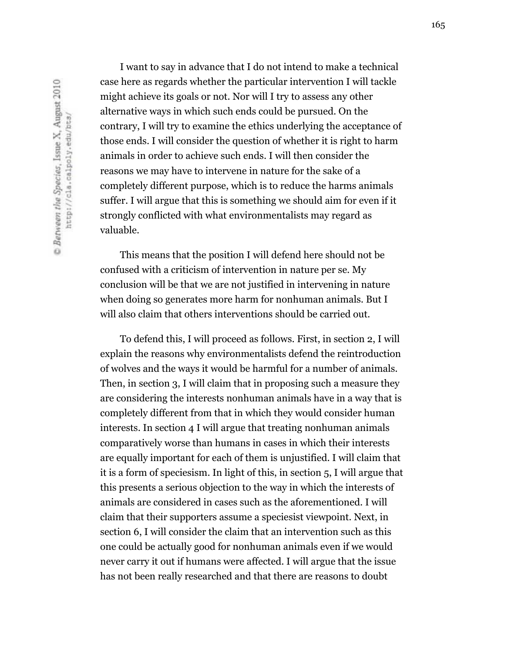I want to say in advance that I do not intend to make a technical case here as regards whether the particular intervention I will tackle might achieve its goals or not. Nor will I try to assess any other alternative ways in which such ends could be pursued. On the contrary, I will try to examine the ethics underlying the acceptance of those ends. I will consider the question of whether it is right to harm animals in order to achieve such ends. I will then consider the reasons we may have to intervene in nature for the sake of a completely different purpose, which is to reduce the harms animals suffer. I will argue that this is something we should aim for even if it strongly conflicted with what environmentalists may regard as valuable.

This means that the position I will defend here should not be confused with a criticism of intervention in nature per se. My conclusion will be that we are not justified in intervening in nature when doing so generates more harm for nonhuman animals. But I will also claim that others interventions should be carried out.

To defend this, I will proceed as follows. First, in section 2, I will explain the reasons why environmentalists defend the reintroduction of wolves and the ways it would be harmful for a number of animals. Then, in section 3, I will claim that in proposing such a measure they are considering the interests nonhuman animals have in a way that is completely different from that in which they would consider human interests. In section 4 I will argue that treating nonhuman animals comparatively worse than humans in cases in which their interests are equally important for each of them is unjustified. I will claim that it is a form of speciesism. In light of this, in section 5, I will argue that this presents a serious objection to the way in which the interests of animals are considered in cases such as the aforementioned. I will claim that their supporters assume a speciesist viewpoint. Next, in section 6, I will consider the claim that an intervention such as this one could be actually good for nonhuman animals even if we would never carry it out if humans were affected. I will argue that the issue has not been really researched and that there are reasons to doubt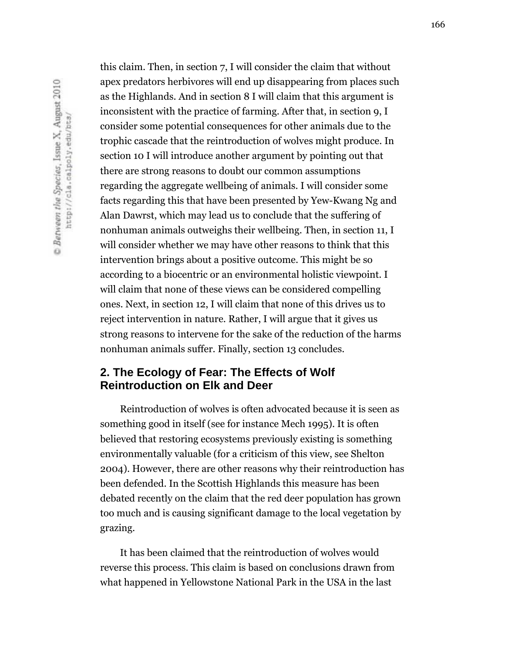this claim. Then, in section 7, I will consider the claim that without apex predators herbivores will end up disappearing from places such as the Highlands. And in section 8 I will claim that this argument is inconsistent with the practice of farming. After that, in section 9, I consider some potential consequences for other animals due to the trophic cascade that the reintroduction of wolves might produce. In section 10 I will introduce another argument by pointing out that there are strong reasons to doubt our common assumptions regarding the aggregate wellbeing of animals. I will consider some facts regarding this that have been presented by Yew-Kwang Ng and Alan Dawrst, which may lead us to conclude that the suffering of nonhuman animals outweighs their wellbeing. Then, in section 11, I will consider whether we may have other reasons to think that this intervention brings about a positive outcome. This might be so according to a biocentric or an environmental holistic viewpoint. I will claim that none of these views can be considered compelling ones. Next, in section 12, I will claim that none of this drives us to reject intervention in nature. Rather, I will argue that it gives us strong reasons to intervene for the sake of the reduction of the harms nonhuman animals suffer. Finally, section 13 concludes.

# **2. The Ecology of Fear: The Effects of Wolf Reintroduction on Elk and Deer**

Reintroduction of wolves is often advocated because it is seen as something good in itself (see for instance Mech 1995). It is often believed that restoring ecosystems previously existing is something environmentally valuable (for a criticism of this view, see Shelton 2004). However, there are other reasons why their reintroduction has been defended. In the Scottish Highlands this measure has been debated recently on the claim that the red deer population has grown too much and is causing significant damage to the local vegetation by grazing.

It has been claimed that the reintroduction of wolves would reverse this process. This claim is based on conclusions drawn from what happened in Yellowstone National Park in the USA in the last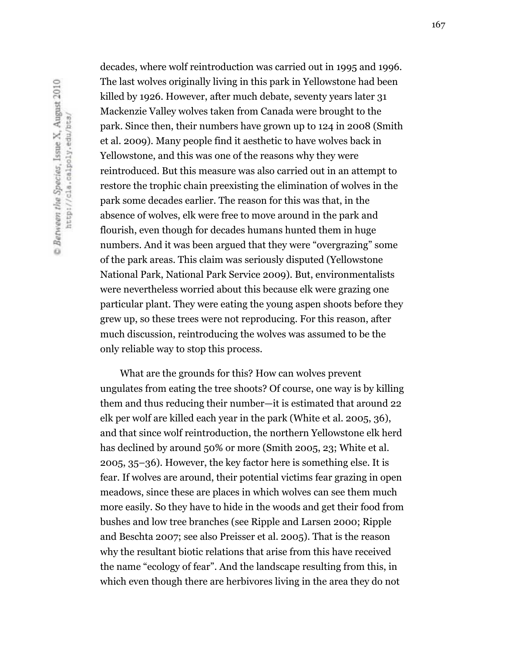decades, where wolf reintroduction was carried out in 1995 and 1996. The last wolves originally living in this park in Yellowstone had been killed by 1926. However, after much debate, seventy years later 31 Mackenzie Valley wolves taken from Canada were brought to the park. Since then, their numbers have grown up to 124 in 2008 (Smith et al. 2009). Many people find it aesthetic to have wolves back in Yellowstone, and this was one of the reasons why they were reintroduced. But this measure was also carried out in an attempt to restore the trophic chain preexisting the elimination of wolves in the park some decades earlier. The reason for this was that, in the absence of wolves, elk were free to move around in the park and flourish, even though for decades humans hunted them in huge numbers. And it was been argued that they were "overgrazing" some of the park areas. This claim was seriously disputed (Yellowstone National Park, National Park Service 2009). But, environmentalists were nevertheless worried about this because elk were grazing one particular plant. They were eating the young aspen shoots before they grew up, so these trees were not reproducing. For this reason, after much discussion, reintroducing the wolves was assumed to be the only reliable way to stop this process.

What are the grounds for this? How can wolves prevent ungulates from eating the tree shoots? Of course, one way is by killing them and thus reducing their number—it is estimated that around 22 elk per wolf are killed each year in the park (White et al. 2005, 36), and that since wolf reintroduction, the northern Yellowstone elk herd has declined by around 50% or more (Smith 2005, 23; White et al. 2005, 35–36). However, the key factor here is something else. It is fear. If wolves are around, their potential victims fear grazing in open meadows, since these are places in which wolves can see them much more easily. So they have to hide in the woods and get their food from bushes and low tree branches (see Ripple and Larsen 2000; Ripple and Beschta 2007; see also Preisser et al. 2005). That is the reason why the resultant biotic relations that arise from this have received the name "ecology of fear". And the landscape resulting from this, in which even though there are herbivores living in the area they do not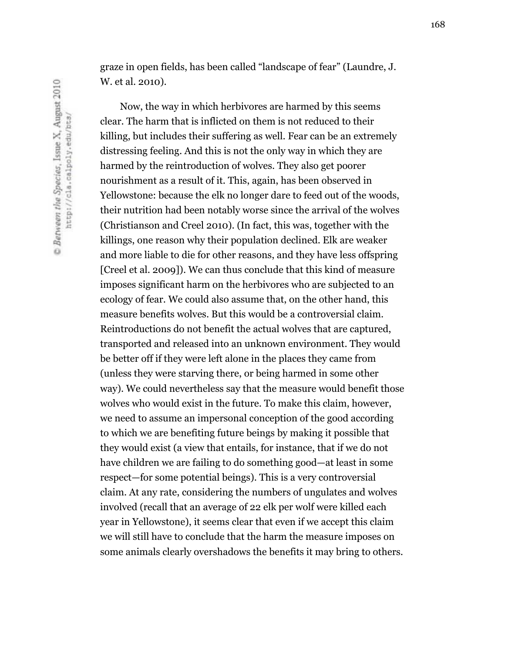graze in open fields, has been called "landscape of fear" (Laundre, J. W. et al. 2010).

Now, the way in which herbivores are harmed by this seems clear. The harm that is inflicted on them is not reduced to their killing, but includes their suffering as well. Fear can be an extremely distressing feeling. And this is not the only way in which they are harmed by the reintroduction of wolves. They also get poorer nourishment as a result of it. This, again, has been observed in Yellowstone: because the elk no longer dare to feed out of the woods, their nutrition had been notably worse since the arrival of the wolves (Christianson and Creel 2010). (In fact, this was, together with the killings, one reason why their population declined. Elk are weaker and more liable to die for other reasons, and they have less offspring [Creel et al. 2009]). We can thus conclude that this kind of measure imposes significant harm on the herbivores who are subjected to an ecology of fear. We could also assume that, on the other hand, this measure benefits wolves. But this would be a controversial claim. Reintroductions do not benefit the actual wolves that are captured, transported and released into an unknown environment. They would be better off if they were left alone in the places they came from (unless they were starving there, or being harmed in some other way). We could nevertheless say that the measure would benefit those wolves who would exist in the future. To make this claim, however, we need to assume an impersonal conception of the good according to which we are benefiting future beings by making it possible that they would exist (a view that entails, for instance, that if we do not have children we are failing to do something good—at least in some respect—for some potential beings). This is a very controversial claim. At any rate, considering the numbers of ungulates and wolves involved (recall that an average of 22 elk per wolf were killed each year in Yellowstone), it seems clear that even if we accept this claim we will still have to conclude that the harm the measure imposes on some animals clearly overshadows the benefits it may bring to others.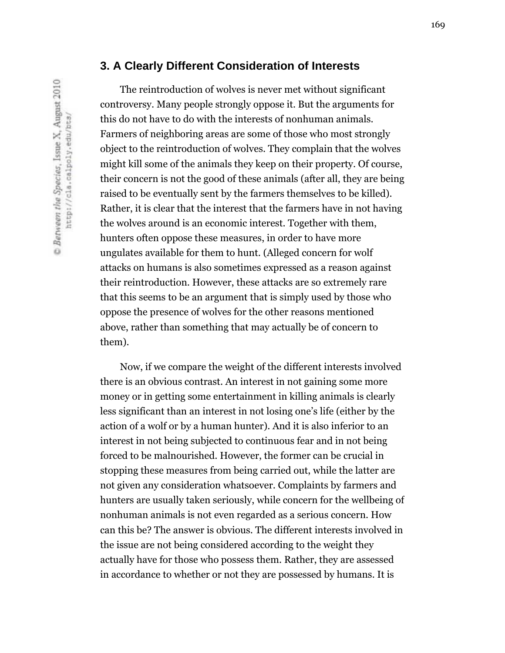The reintroduction of wolves is never met without significant controversy. Many people strongly oppose it. But the arguments for this do not have to do with the interests of nonhuman animals. Farmers of neighboring areas are some of those who most strongly object to the reintroduction of wolves. They complain that the wolves might kill some of the animals they keep on their property. Of course, their concern is not the good of these animals (after all, they are being raised to be eventually sent by the farmers themselves to be killed). Rather, it is clear that the interest that the farmers have in not having the wolves around is an economic interest. Together with them, hunters often oppose these measures, in order to have more ungulates available for them to hunt. (Alleged concern for wolf attacks on humans is also sometimes expressed as a reason against their reintroduction. However, these attacks are so extremely rare that this seems to be an argument that is simply used by those who oppose the presence of wolves for the other reasons mentioned above, rather than something that may actually be of concern to them).

Now, if we compare the weight of the different interests involved there is an obvious contrast. An interest in not gaining some more money or in getting some entertainment in killing animals is clearly less significant than an interest in not losing one's life (either by the action of a wolf or by a human hunter). And it is also inferior to an interest in not being subjected to continuous fear and in not being forced to be malnourished. However, the former can be crucial in stopping these measures from being carried out, while the latter are not given any consideration whatsoever. Complaints by farmers and hunters are usually taken seriously, while concern for the wellbeing of nonhuman animals is not even regarded as a serious concern. How can this be? The answer is obvious. The different interests involved in the issue are not being considered according to the weight they actually have for those who possess them. Rather, they are assessed in accordance to whether or not they are possessed by humans. It is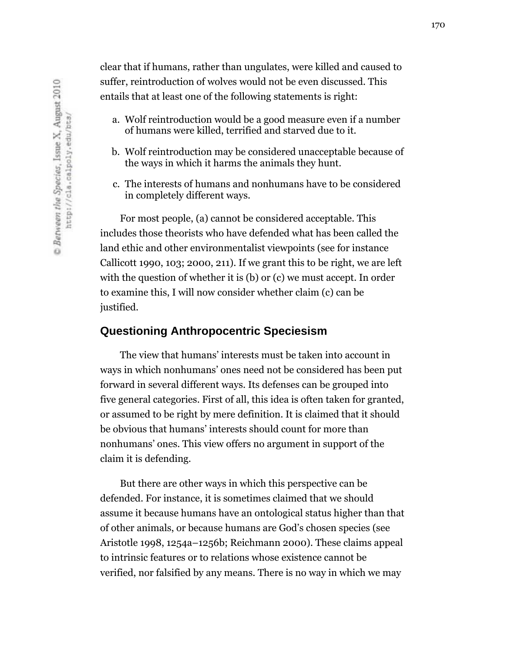clear that if humans, rather than ungulates, were killed and caused to suffer, reintroduction of wolves would not be even discussed. This entails that at least one of the following statements is right:

- a. Wolf reintroduction would be a good measure even if a number of humans were killed, terrified and starved due to it.
- b. Wolf reintroduction may be considered unacceptable because of the ways in which it harms the animals they hunt.
- c. The interests of humans and nonhumans have to be considered in completely different ways.

For most people, (a) cannot be considered acceptable. This includes those theorists who have defended what has been called the land ethic and other environmentalist viewpoints (see for instance Callicott 1990, 103; 2000, 211). If we grant this to be right, we are left with the question of whether it is (b) or (c) we must accept. In order to examine this, I will now consider whether claim (c) can be justified.

#### **Questioning Anthropocentric Speciesism**

The view that humans' interests must be taken into account in ways in which nonhumans' ones need not be considered has been put forward in several different ways. Its defenses can be grouped into five general categories. First of all, this idea is often taken for granted, or assumed to be right by mere definition. It is claimed that it should be obvious that humans' interests should count for more than nonhumans' ones. This view offers no argument in support of the claim it is defending.

But there are other ways in which this perspective can be defended. For instance, it is sometimes claimed that we should assume it because humans have an ontological status higher than that of other animals, or because humans are God's chosen species (see Aristotle 1998, 1254a–1256b; Reichmann 2000). These claims appeal to intrinsic features or to relations whose existence cannot be verified, nor falsified by any means. There is no way in which we may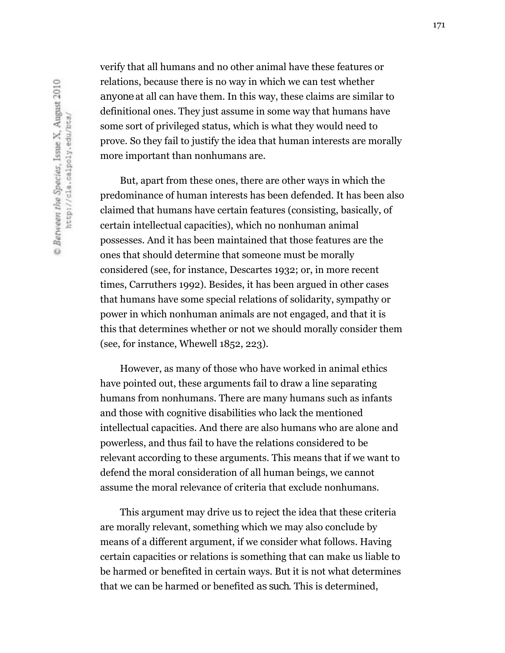verify that all humans and no other animal have these features or relations, because there is no way in which we can test whether *anyone* at all can have them. In this way, these claims are similar to definitional ones. They just assume in some way that humans have some sort of privileged status, which is what they would need to prove. So they fail to justify the idea that human interests are morally more important than nonhumans are.

But, apart from these ones, there are other ways in which the predominance of human interests has been defended. It has been also claimed that humans have certain features (consisting, basically, of certain intellectual capacities), which no nonhuman animal possesses. And it has been maintained that those features are the ones that should determine that someone must be morally considered (see, for instance, Descartes 1932; or, in more recent times, Carruthers 1992). Besides, it has been argued in other cases that humans have some special relations of solidarity, sympathy or power in which nonhuman animals are not engaged, and that it is this that determines whether or not we should morally consider them (see, for instance, Whewell 1852, 223).

However, as many of those who have worked in animal ethics have pointed out, these arguments fail to draw a line separating humans from nonhumans. There are many humans such as infants and those with cognitive disabilities who lack the mentioned intellectual capacities. And there are also humans who are alone and powerless, and thus fail to have the relations considered to be relevant according to these arguments. This means that if we want to defend the moral consideration of all human beings, we cannot assume the moral relevance of criteria that exclude nonhumans.

This argument may drive us to reject the idea that these criteria are morally relevant, something which we may also conclude by means of a different argument, if we consider what follows. Having certain capacities or relations is something that can make us liable to be harmed or benefited in certain ways. But it is not what determines that we can be harmed or benefited *as such*. This is determined,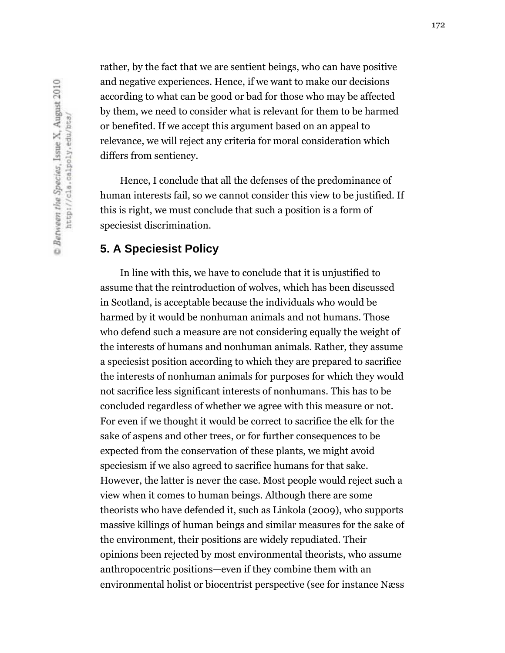rather, by the fact that we are sentient beings, who can have positive and negative experiences. Hence, *if* we want to make our decisions according to what can be good or bad for those who may be affected by them, we need to consider what is relevant for them to be harmed or benefited. If we accept this argument based on an appeal to relevance, we will reject any criteria for moral consideration which differs from sentiency.

Hence, I conclude that all the defenses of the predominance of human interests fail, so we cannot consider this view to be justified. If this is right, we must conclude that such a position is a form of speciesist discrimination.

#### **5. A Speciesist Policy**

In line with this, we have to conclude that it is unjustified to assume that the reintroduction of wolves, which has been discussed in Scotland, is acceptable because the individuals who would be harmed by it would be nonhuman animals and not humans. Those who defend such a measure are not considering equally the weight of the interests of humans and nonhuman animals. Rather, they assume a speciesist position according to which they are prepared to sacrifice the interests of nonhuman animals for purposes for which they would not sacrifice less significant interests of nonhumans. This has to be concluded regardless of whether we agree with this measure or not. For even if we thought it would be correct to sacrifice the elk for the sake of aspens and other trees, or for further consequences to be expected from the conservation of these plants, we might avoid speciesism if we also agreed to sacrifice humans for that sake. However, the latter is never the case. Most people would reject such a view when it comes to human beings. Although there are some theorists who have defended it, such as Linkola (2009), who supports massive killings of human beings and similar measures for the sake of the environment, their positions are widely repudiated. Their opinions been rejected by most environmental theorists, who assume anthropocentric positions—even if they combine them with an environmental holist or biocentrist perspective (see for instance Næss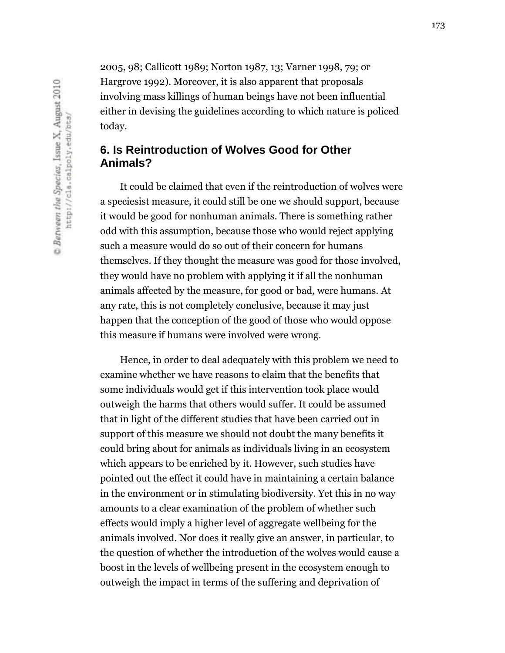2005, 98; Callicott 1989; Norton 1987, 13; Varner 1998, 79; or Hargrove 1992). Moreover, it is also apparent that proposals involving mass killings of human beings have not been influential either in devising the guidelines according to which nature is policed today.

# **6. Is Reintroduction of Wolves Good for Other Animals?**

It could be claimed that even if the reintroduction of wolves were a speciesist measure, it could still be one we should support, because it would be good for nonhuman animals. There is something rather odd with this assumption, because those who would reject applying such a measure would do so out of their concern for humans themselves. If they thought the measure was good for those involved, they would have no problem with applying it if all the nonhuman animals affected by the measure, for good or bad, were humans. At any rate, this is not completely conclusive, because it may just happen that the conception of the good of those who would oppose this measure if humans were involved were wrong.

Hence, in order to deal adequately with this problem we need to examine whether we have reasons to claim that the benefits that some individuals would get if this intervention took place would outweigh the harms that others would suffer. It could be assumed that in light of the different studies that have been carried out in support of this measure we should not doubt the many benefits it could bring about for animals as individuals living in an ecosystem which appears to be enriched by it. However, such studies have pointed out the effect it could have in maintaining a certain balance in the environment or in stimulating biodiversity. Yet this in no way amounts to a clear examination of the problem of whether such effects would imply a higher level of aggregate wellbeing for the animals involved. Nor does it really give an answer, in particular, to the question of whether the introduction of the wolves would cause a boost in the levels of wellbeing present in the ecosystem enough to outweigh the impact in terms of the suffering and deprivation of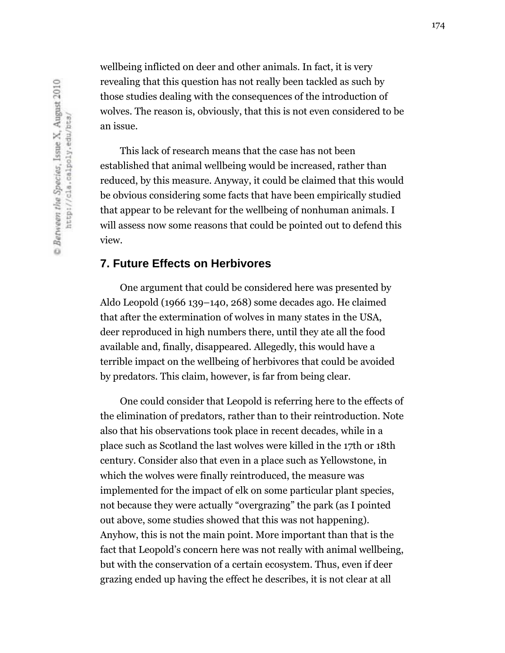wellbeing inflicted on deer and other animals. In fact, it is very revealing that this question has not really been tackled as such by those studies dealing with the consequences of the introduction of wolves. The reason is, obviously, that this is not even considered to be an issue.

This lack of research means that the case has not been established that animal wellbeing would be increased, rather than reduced, by this measure. Anyway, it could be claimed that this would be obvious considering some facts that have been empirically studied that appear to be relevant for the wellbeing of nonhuman animals. I will assess now some reasons that could be pointed out to defend this view.

#### **7. Future Effects on Herbivores**

One argument that could be considered here was presented by Aldo Leopold (1966 139–140, 268) some decades ago. He claimed that after the extermination of wolves in many states in the USA, deer reproduced in high numbers there, until they ate all the food available and, finally, disappeared. Allegedly, this would have a terrible impact on the wellbeing of herbivores that could be avoided by predators. This claim, however, is far from being clear.

One could consider that Leopold is referring here to the effects of the elimination of predators, rather than to their reintroduction. Note also that his observations took place in recent decades, while in a place such as Scotland the last wolves were killed in the 17th or 18th century. Consider also that even in a place such as Yellowstone, in which the wolves were finally reintroduced, the measure was implemented for the impact of elk on some particular plant species, not because they were actually "overgrazing" the park (as I pointed out above, some studies showed that this was not happening). Anyhow, this is not the main point. More important than that is the fact that Leopold's concern here was not really with animal wellbeing, but with the conservation of a certain ecosystem. Thus, even if deer grazing ended up having the effect he describes, it is not clear at all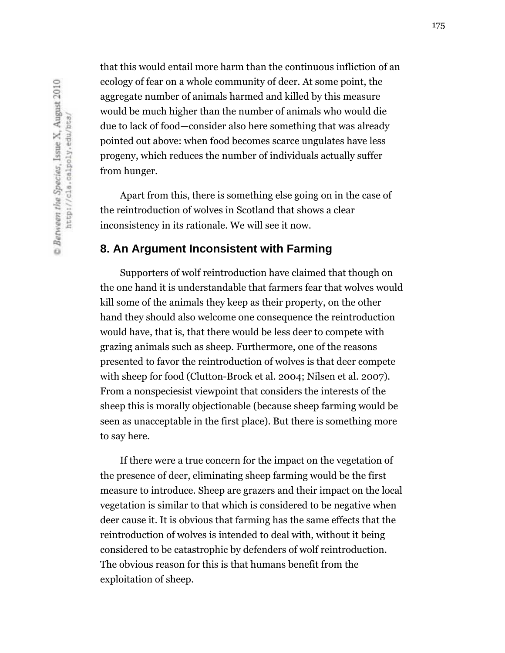that this would entail more harm than the continuous infliction of an ecology of fear on a whole community of deer. At some point, the aggregate number of animals harmed and killed by this measure would be much higher than the number of animals who would die due to lack of food—consider also here something that was already pointed out above: when food becomes scarce ungulates have less progeny, which reduces the number of individuals actually suffer from hunger.

Apart from this, there is something else going on in the case of the reintroduction of wolves in Scotland that shows a clear inconsistency in its rationale. We will see it now.

#### **8. An Argument Inconsistent with Farming**

Supporters of wolf reintroduction have claimed that though on the one hand it is understandable that farmers fear that wolves would kill some of the animals they keep as their property, on the other hand they should also welcome one consequence the reintroduction would have, that is, that there would be less deer to compete with grazing animals such as sheep. Furthermore, one of the reasons presented to favor the reintroduction of wolves is that deer compete with sheep for food (Clutton-Brock et al. 2004; Nilsen et al. 2007). From a nonspeciesist viewpoint that considers the interests of the sheep this is morally objectionable (because sheep farming would be seen as unacceptable in the first place). But there is something more to say here.

If there were a true concern for the impact on the vegetation of the presence of deer, eliminating sheep farming would be the first measure to introduce. Sheep are grazers and their impact on the local vegetation is similar to that which is considered to be negative when deer cause it. It is obvious that farming has the same effects that the reintroduction of wolves is intended to deal with, without it being considered to be catastrophic by defenders of wolf reintroduction. The obvious reason for this is that humans benefit from the exploitation of sheep.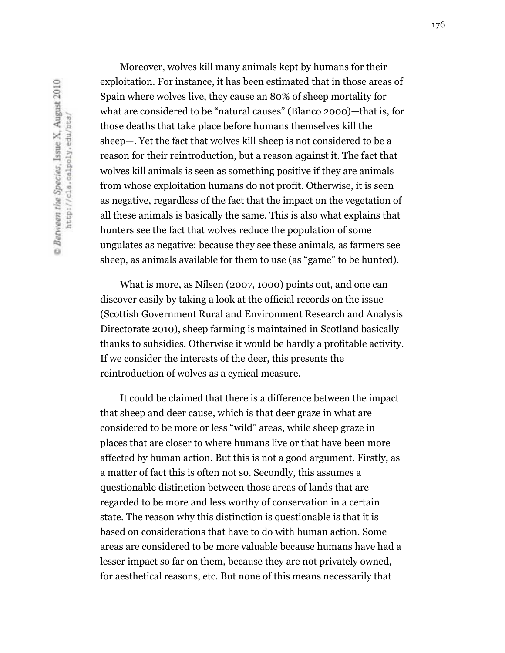Moreover, wolves kill many animals kept by humans for their exploitation. For instance, it has been estimated that in those areas of Spain where wolves live, they cause an 80% of sheep mortality for what are considered to be "natural causes" (Blanco 2000)—that is, for those deaths that take place before humans themselves kill the sheep—. Yet the fact that wolves kill sheep is not considered to be a reason for their reintroduction, but a reason *against* it. The fact that wolves kill animals is seen as something positive if they are animals from whose exploitation humans do not profit. Otherwise, it is seen as negative, regardless of the fact that the impact on the vegetation of all these animals is basically the same. This is also what explains that hunters see the fact that wolves reduce the population of some ungulates as negative: because they see these animals, as farmers see sheep, as animals available for them to use (as "game" to be hunted).

What is more, as Nilsen (2007, 1000) points out, and one can discover easily by taking a look at the official records on the issue (Scottish Government Rural and Environment Research and Analysis Directorate 2010), sheep farming is maintained in Scotland basically thanks to subsidies. Otherwise it would be hardly a profitable activity. If we consider the interests of the deer, this presents the reintroduction of wolves as a cynical measure.

It could be claimed that there is a difference between the impact that sheep and deer cause, which is that deer graze in what are considered to be more or less "wild" areas, while sheep graze in places that are closer to where humans live or that have been more affected by human action. But this is not a good argument. Firstly, as a matter of fact this is often not so. Secondly, this assumes a questionable distinction between those areas of lands that are regarded to be more and less worthy of conservation in a certain state. The reason why this distinction is questionable is that it is based on considerations that have to do with human action. Some areas are considered to be more valuable because humans have had a lesser impact so far on them, because they are not privately owned, for aesthetical reasons, etc. But none of this means necessarily that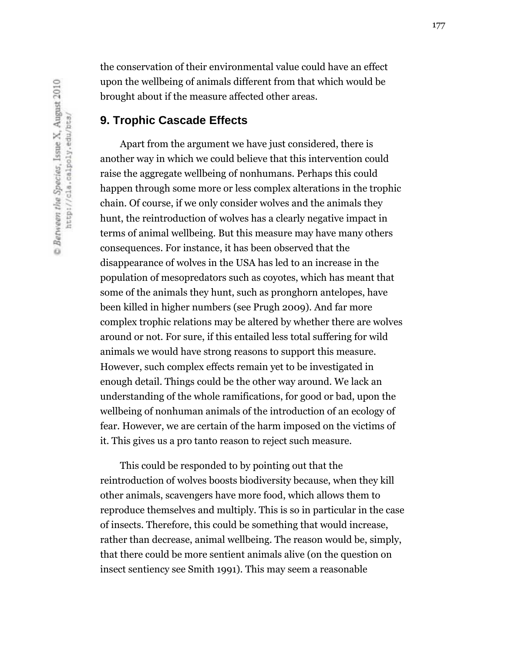the conservation of their environmental value could have an effect upon the wellbeing of animals different from that which would be brought about if the measure affected other areas.

### **9. Trophic Cascade Effects**

Apart from the argument we have just considered, there is another way in which we could believe that this intervention could raise the aggregate wellbeing of nonhumans. Perhaps this could happen through some more or less complex alterations in the trophic chain. Of course, if we only consider wolves and the animals they hunt, the reintroduction of wolves has a clearly negative impact in terms of animal wellbeing. But this measure may have many others consequences. For instance, it has been observed that the disappearance of wolves in the USA has led to an increase in the population of mesopredators such as coyotes, which has meant that some of the animals they hunt, such as pronghorn antelopes, have been killed in higher numbers (see Prugh 2009). And far more complex trophic relations may be altered by whether there are wolves around or not. For sure, if this entailed less total suffering for wild animals we would have strong reasons to support this measure. However, such complex effects remain yet to be investigated in enough detail. Things could be the other way around. We lack an understanding of the whole ramifications, for good or bad, upon the wellbeing of nonhuman animals of the introduction of an ecology of fear. However, we are certain of the harm imposed on the victims of it. This gives us a pro tanto reason to reject such measure.

This could be responded to by pointing out that the reintroduction of wolves boosts biodiversity because, when they kill other animals, scavengers have more food, which allows them to reproduce themselves and multiply. This is so in particular in the case of insects. Therefore, this could be something that would increase, rather than decrease, animal wellbeing. The reason would be, simply, that there could be more sentient animals alive (on the question on insect sentiency see Smith 1991). This may seem a reasonable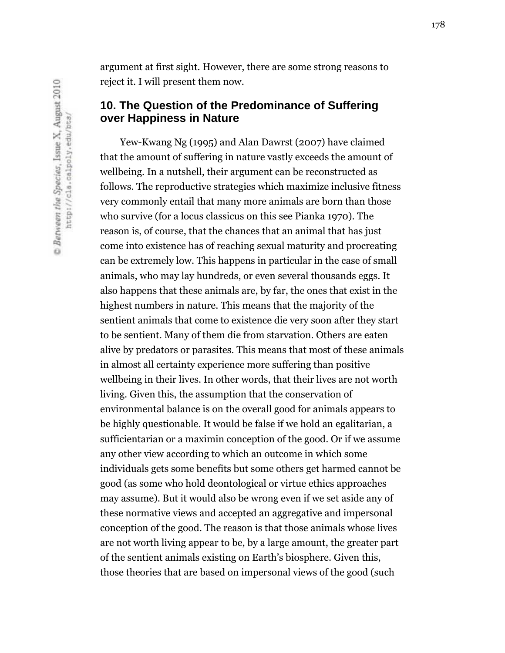argument at first sight. However, there are some strong reasons to reject it. I will present them now.

# **10. The Question of the Predominance of Suffering over Happiness in Nature**

Yew-Kwang Ng (1995) and Alan Dawrst (2007) have claimed that the amount of suffering in nature vastly exceeds the amount of wellbeing. In a nutshell, their argument can be reconstructed as follows. The reproductive strategies which maximize inclusive fitness very commonly entail that many more animals are born than those who survive (for a locus classicus on this see Pianka 1970). The reason is, of course, that the chances that an animal that has just come into existence has of reaching sexual maturity and procreating can be extremely low. This happens in particular in the case of small animals, who may lay hundreds, or even several thousands eggs. It also happens that these animals are, by far, the ones that exist in the highest numbers in nature. This means that the majority of the sentient animals that come to existence die very soon after they start to be sentient. Many of them die from starvation. Others are eaten alive by predators or parasites. This means that most of these animals in almost all certainty experience more suffering than positive wellbeing in their lives. In other words, that their lives are not worth living. Given this, the assumption that the conservation of environmental balance is on the overall good for animals appears to be highly questionable. It would be false if we hold an egalitarian, a sufficientarian or a maximin conception of the good. Or if we assume any other view according to which an outcome in which some individuals gets some benefits but some others get harmed cannot be good (as some who hold deontological or virtue ethics approaches may assume). But it would also be wrong even if we set aside any of these normative views and accepted an aggregative and impersonal conception of the good. The reason is that those animals whose lives are not worth living appear to be, by a large amount, the greater part of the sentient animals existing on Earth's biosphere. Given this, those theories that are based on impersonal views of the good (such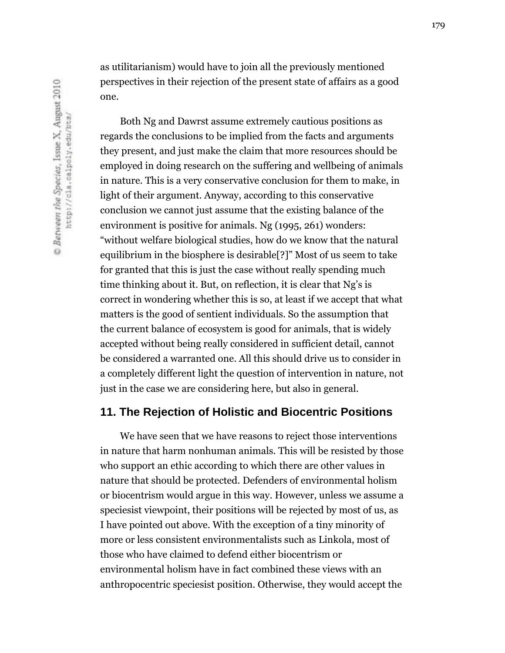as utilitarianism) would have to join all the previously mentioned perspectives in their rejection of the present state of affairs as a good one.

Both Ng and Dawrst assume extremely cautious positions as regards the conclusions to be implied from the facts and arguments they present, and just make the claim that more resources should be employed in doing research on the suffering and wellbeing of animals in nature. This is a very conservative conclusion for them to make, in light of their argument. Anyway, according to this conservative conclusion we cannot just assume that the existing balance of the environment is positive for animals. Ng (1995, 261) wonders: "without welfare biological studies, how do we know that the natural equilibrium in the biosphere is desirable[?]" Most of us seem to take for granted that this is just the case without really spending much time thinking about it. But, on reflection, it is clear that Ng's is correct in wondering whether this is so, at least if we accept that what matters is the good of sentient individuals. So the assumption that the current balance of ecosystem is good for animals, that is widely accepted without being really considered in sufficient detail, cannot be considered a warranted one. All this should drive us to consider in a completely different light the question of intervention in nature, not just in the case we are considering here, but also in general.

#### **11. The Rejection of Holistic and Biocentric Positions**

We have seen that we have reasons to reject those interventions in nature that harm nonhuman animals. This will be resisted by those who support an ethic according to which there are other values in nature that should be protected. Defenders of environmental holism or biocentrism would argue in this way. However, unless we assume a speciesist viewpoint, their positions will be rejected by most of us, as I have pointed out above. With the exception of a tiny minority of more or less consistent environmentalists such as Linkola, most of those who have claimed to defend either biocentrism or environmental holism have in fact combined these views with an anthropocentric speciesist position. Otherwise, they would accept the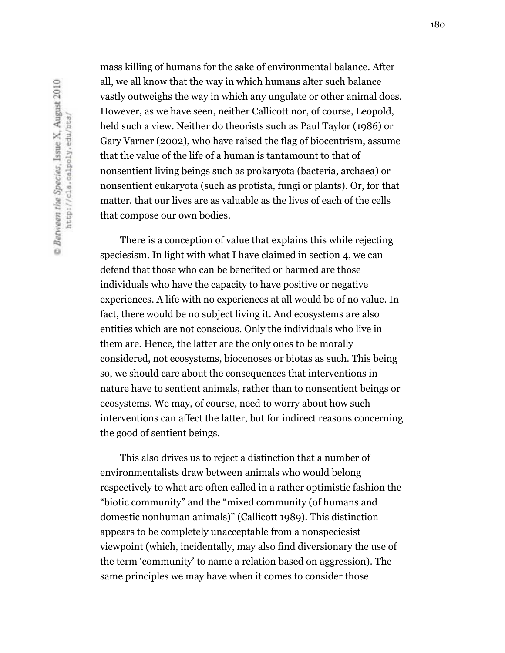mass killing of humans for the sake of environmental balance. After all, we all know that the way in which humans alter such balance vastly outweighs the way in which any ungulate or other animal does. However, as we have seen, neither Callicott nor, of course, Leopold, held such a view. Neither do theorists such as Paul Taylor (1986) or Gary Varner (2002), who have raised the flag of biocentrism, assume that the value of the life of a human is tantamount to that of nonsentient living beings such as prokaryota (bacteria, archaea) or nonsentient eukaryota (such as protista, fungi or plants). Or, for that matter, that our lives are as valuable as the lives of each of the cells that compose our own bodies.

There is a conception of value that explains this while rejecting speciesism. In light with what I have claimed in section 4, we can defend that those who can be benefited or harmed are those individuals who have the capacity to have positive or negative experiences. A life with no experiences at all would be of no value. In fact, there would be no subject living it. And ecosystems are also entities which are not conscious. Only the individuals who live in them are. Hence, the latter are the only ones to be morally considered, not ecosystems, biocenoses or biotas as such. This being so, we should care about the consequences that interventions in nature have to sentient animals, rather than to nonsentient beings or ecosystems. We may, of course, need to worry about how such interventions can affect the latter, but for indirect reasons concerning the good of sentient beings.

This also drives us to reject a distinction that a number of environmentalists draw between animals who would belong respectively to what are often called in a rather optimistic fashion the "biotic community" and the "mixed community (of humans and domestic nonhuman animals)" (Callicott 1989). This distinction appears to be completely unacceptable from a nonspeciesist viewpoint (which, incidentally, may also find diversionary the use of the term 'community' to name a relation based on aggression). The same principles we may have when it comes to consider those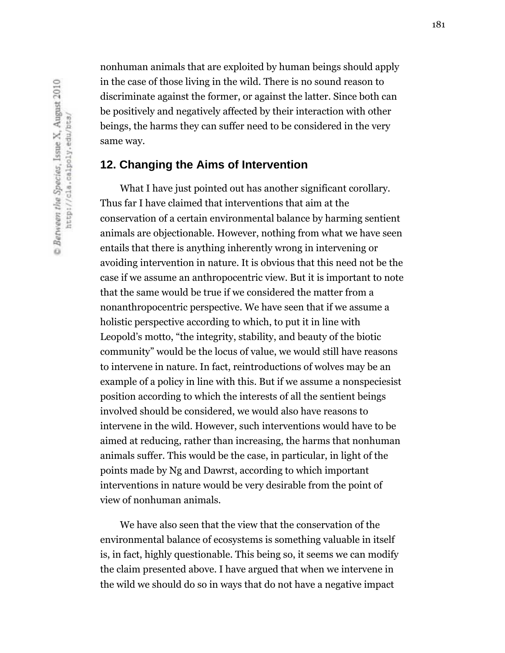nonhuman animals that are exploited by human beings should apply in the case of those living in the wild. There is no sound reason to discriminate against the former, or against the latter. Since both can be positively and negatively affected by their interaction with other beings, the harms they can suffer need to be considered in the very same way.

# **12. Changing the Aims of Intervention**

What I have just pointed out has another significant corollary. Thus far I have claimed that interventions that aim at the conservation of a certain environmental balance by harming sentient animals are objectionable. However, nothing from what we have seen entails that there is anything inherently wrong in intervening or avoiding intervention in nature. It is obvious that this need not be the case if we assume an anthropocentric view. But it is important to note that the same would be true if we considered the matter from a nonanthropocentric perspective. We have seen that if we assume a holistic perspective according to which, to put it in line with Leopold's motto, "the integrity, stability, and beauty of the biotic community" would be the locus of value, we would still have reasons to intervene in nature. In fact, reintroductions of wolves may be an example of a policy in line with this. But if we assume a nonspeciesist position according to which the interests of all the sentient beings involved should be considered, we would also have reasons to intervene in the wild. However, such interventions would have to be aimed at reducing, rather than increasing, the harms that nonhuman animals suffer. This would be the case, in particular, in light of the points made by Ng and Dawrst, according to which important interventions in nature would be very desirable from the point of view of nonhuman animals.

We have also seen that the view that the conservation of the environmental balance of ecosystems is something valuable in itself is, in fact, highly questionable. This being so, it seems we can modify the claim presented above. I have argued that when we intervene in the wild we should do so in ways that do not have a negative impact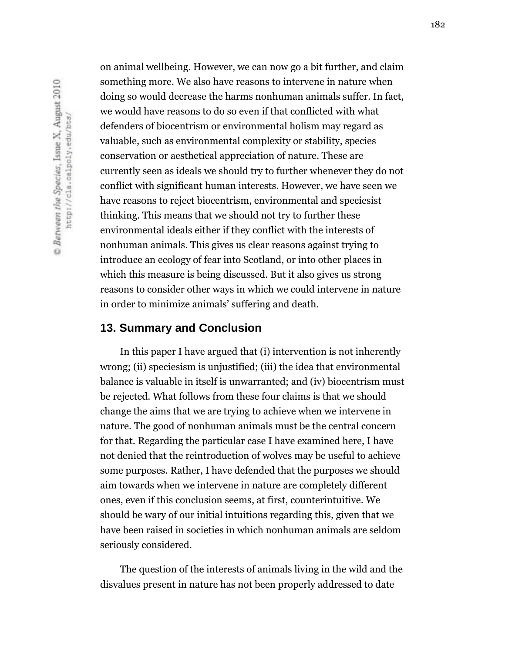on animal wellbeing. However, we can now go a bit further, and claim something more. We also have reasons to intervene in nature when doing so would decrease the harms nonhuman animals suffer. In fact, we would have reasons to do so even if that conflicted with what defenders of biocentrism or environmental holism may regard as valuable, such as environmental complexity or stability, species conservation or aesthetical appreciation of nature. These are currently seen as ideals we should try to further whenever they do not conflict with significant human interests. However, we have seen we have reasons to reject biocentrism, environmental and speciesist thinking. This means that we should not try to further these environmental ideals either if they conflict with the interests of nonhuman animals. This gives us clear reasons against trying to introduce an ecology of fear into Scotland, or into other places in which this measure is being discussed. But it also gives us strong reasons to consider other ways in which we could intervene in nature in order to minimize animals' suffering and death.

### **13. Summary and Conclusion**

In this paper I have argued that (i) intervention is not inherently wrong; (ii) speciesism is unjustified; (iii) the idea that environmental balance is valuable in itself is unwarranted; and (iv) biocentrism must be rejected. What follows from these four claims is that we should change the aims that we are trying to achieve when we intervene in nature. The good of nonhuman animals must be the central concern for that. Regarding the particular case I have examined here, I have not denied that the reintroduction of wolves may be useful to achieve some purposes. Rather, I have defended that the purposes we should aim towards when we intervene in nature are completely different ones, even if this conclusion seems, at first, counterintuitive. We should be wary of our initial intuitions regarding this, given that we have been raised in societies in which nonhuman animals are seldom seriously considered.

The question of the interests of animals living in the wild and the disvalues present in nature has not been properly addressed to date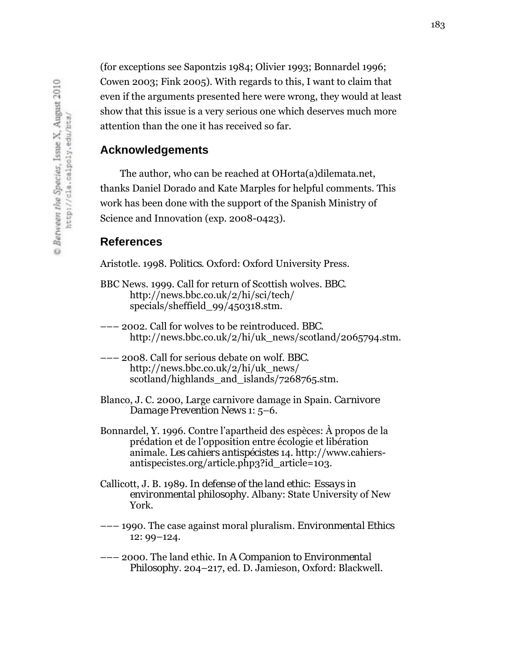(for exceptions see Sapontzis 1984; Olivier 1993; Bonnardel 1996; Cowen 2003; Fink 2005). With regards to this, I want to claim that even if the arguments presented here were wrong, they would at least show that this issue is a very serious one which deserves much more attention than the one it has received so far.

### **Acknowledgements**

The author, who can be reached at OHorta(a)dilemata.net, thanks Daniel Dorado and Kate Marples for helpful comments. This work has been done with the support of the Spanish Ministry of Science and Innovation (exp. 2008-0423).

#### **References**

Aristotle. 1998. *Politics*. Oxford: Oxford University Press.

- BBC News. 1999. Call for return of Scottish wolves. *BBC*. http://news.bbc.co.uk/2/hi/sci/tech/ specials/sheffield\_99/450318.stm.
- ––– 2002. Call for wolves to be reintroduced. *BBC*. http://news.bbc.co.uk/2/hi/uk\_news/scotland/2065794.stm.
- ––– 2008. Call for serious debate on wolf. *BBC*. http://news.bbc.co.uk/2/hi/uk\_news/ scotland/highlands\_and\_islands/7268765.stm.
- Blanco, J. C. 2000, Large carnivore damage in Spain. *Carnivore Damage Prevention News* 1: 5–6.
- Bonnardel, Y. 1996. Contre l'apartheid des espèces: À propos de la prédation et de l'opposition entre écologie et libération animale. *Les cahiers antispécistes* 14. http://www.cahiersantispecistes.org/article.php3?id\_article=103.
- Callicott, J. B. 1989. *In defense of the land ethic: Essays in environmental philosophy*. Albany: State University of New York.
- ––– 1990. The case against moral pluralism. *Environmental Ethics*  12: 99–124.
- ––– 2000. The land ethic. In *A Companion to Environmental Philosophy*. 204–217, ed. D. Jamieson, Oxford: Blackwell.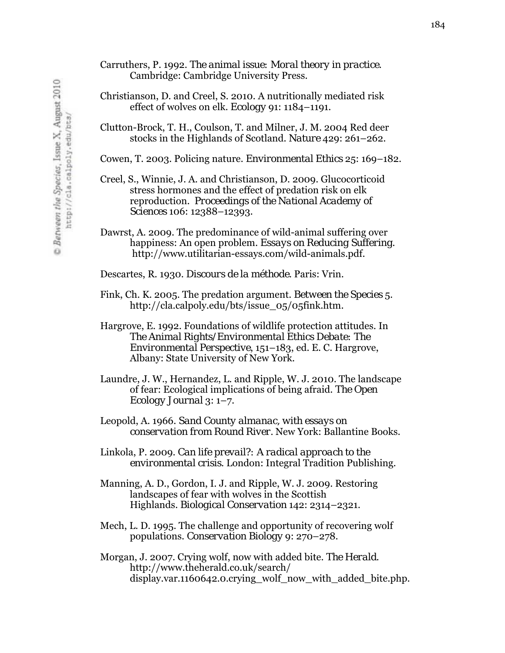- Carruthers, P. 1992. *The animal issue: Moral theory in practice*. Cambridge: Cambridge University Press.
- Christianson, D. and Creel, S. 2010. A nutritionally mediated risk effect of wolves on elk. *Ecology* 91: 1184–1191.
- Clutton-Brock, T. H., Coulson, T. and Milner, J. M. 2004 Red deer stocks in the Highlands of Scotland. *Nature* 429: 261–262.

Cowen, T. 2003. Policing nature. *Environmental Ethics* 25: 169–182.

Creel, S., Winnie, J. A. and Christianson, D. 2009. Glucocorticoid stress hormones and the effect of predation risk on elk reproduction. *Proceedings of the National Academy of Sciences* 106: 12388–12393.

Dawrst, A. 2009. The predominance of wild-animal suffering over happiness: An open problem. *Essays on Reducing Suffering*. http://www.utilitarian-essays.com/wild-animals.pdf.

Descartes, R. 1930. *Discours de la méthode*. Paris: Vrin.

- Fink, Ch. K. 2005. The predation argument. *Between the Species* 5. http://cla.calpoly.edu/bts/issue\_05/05fink.htm.
- Hargrove, E. 1992. Foundations of wildlife protection attitudes. In *The Animal Rights/Environmental Ethics Debate: The Environmental Perspective*, 151–183, ed. E. C. Hargrove, Albany: State University of New York.

Laundre, J. W., Hernandez, L. and Ripple, W. J. 2010. The landscape of fear: Ecological implications of being afraid. *The Open Ecology Journal* 3: 1–7.

Leopold, A. 1966. *Sand County almanac, with essays on conservation from Round River.* New York: Ballantine Books.

Linkola, P. 2009. *Can life prevail?: A radical approach to the environmental crisis*. London: Integral Tradition Publishing.

- Manning, A. D., Gordon, I. J. and Ripple, W. J. 2009. Restoring landscapes of fear with wolves in the Scottish Highlands. *Biological Conservation* 142: 2314–2321.
- Mech, L. D. 1995. The challenge and opportunity of recovering wolf populations. *Conservation Biology* 9: 270–278.
- Morgan, J. 2007. Crying wolf, now with added bite. *The Herald*. http://www.theherald.co.uk/search/ display.var.1160642.0.crying\_wolf\_now\_with\_added\_bite.php.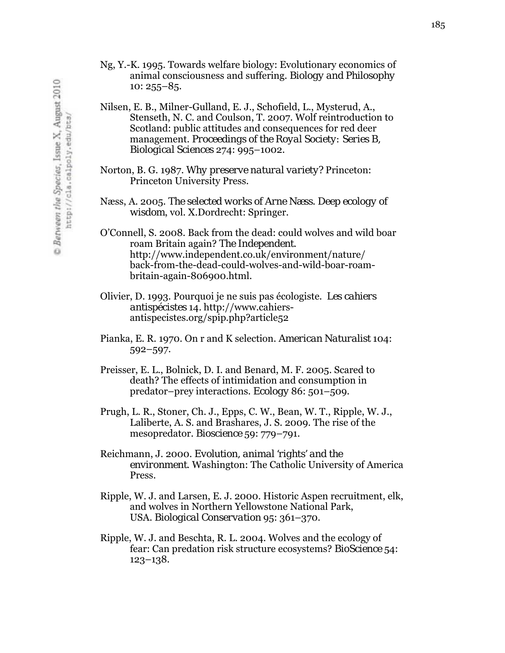- Ng, Y.-K. 1995. Towards welfare biology: Evolutionary economics of animal consciousness and suffering. *Biology and Philosophy*  10: 255–85.
- Nilsen, E. B., Milner-Gulland, E. J., Schofield, L., Mysterud, A., Stenseth, N. C. and Coulson, T. 2007. Wolf reintroduction to Scotland: public attitudes and consequences for red deer management. *Proceedings of the Royal Society: Series B, Biological Sciences* 274: 995–1002.
- Norton, B. G. 1987. *Why preserve natural variety?* Princeton: Princeton University Press.
- Næss, A. 2005. *The selected works of Arne Næss*. *Deep ecology of wisdom*, vol. X.Dordrecht: Springer.
- O'Connell, S. 2008. Back from the dead: could wolves and wild boar roam Britain again? *The Independent*. http://www.independent.co.uk/environment/nature/ back-from-the-dead-could-wolves-and-wild-boar-roambritain-again-806900.html.
- Olivier, D. 1993. Pourquoi je ne suis pas écologiste. *Les cahiers antispécistes* 14*.* http://www.cahiersantispecistes.org/spip.php?article52
- Pianka, E. R. 1970. On r and K selection. *American Naturalist* 104: 592–597.
- Preisser, E. L., Bolnick, D. I. and Benard, M. F. 2005. Scared to death? The effects of intimidation and consumption in predator–prey interactions. *Ecology* 86: 501–509.
- Prugh, L. R., Stoner, Ch. J., Epps, C. W., Bean, W. T., Ripple, W. J., Laliberte, A. S. and Brashares, J. S. 2009. The rise of the mesopredator. *Bioscience* 59: 779–791.
- Reichmann, J. 2000. *Evolution, animal 'rights' and the environment*. Washington: The Catholic University of America Press.
- Ripple, W. J. and Larsen, E. J. 2000. Historic Aspen recruitment, elk, and wolves in Northern Yellowstone National Park, USA. *Biological Conservation* 95: 361–370.
- Ripple, W. J. and Beschta, R. L. 2004. Wolves and the ecology of fear: Can predation risk structure ecosystems? *BioScience* 54: 123–138.